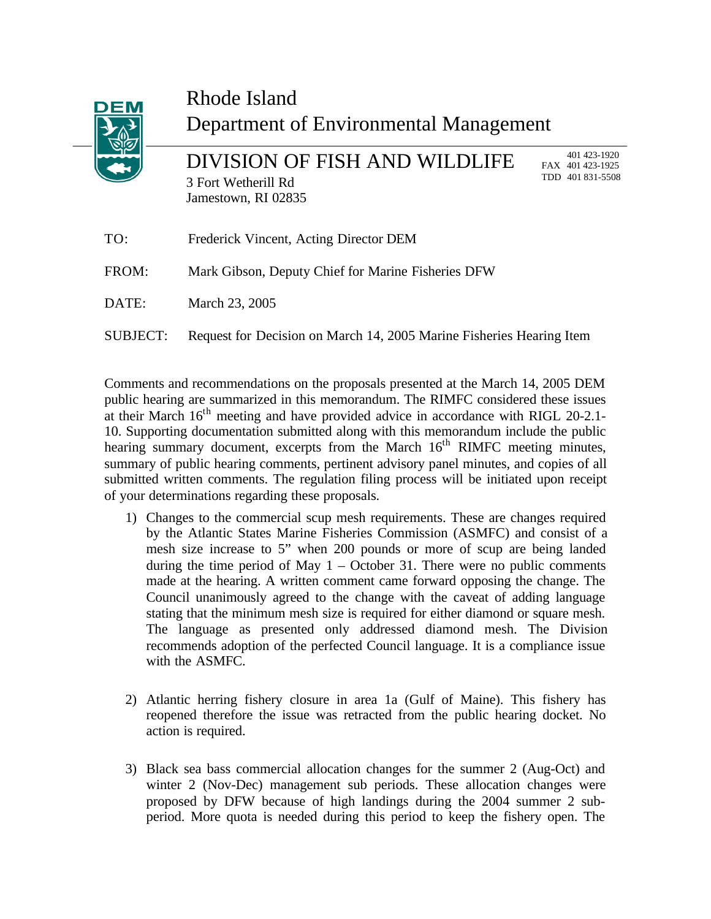| DEM            | Rhode Island<br>Department of Environmental Management                      |                                                      |
|----------------|-----------------------------------------------------------------------------|------------------------------------------------------|
|                | DIVISION OF FISH AND WILDLIFE<br>3 Fort Wetherill Rd<br>Jamestown, RI 02835 | 401 423-1920<br>FAX 401 423-1925<br>TDD 401 831-5508 |
| TO:            | Frederick Vincent, Acting Director DEM                                      |                                                      |
| FROM:          | Mark Gibson, Deputy Chief for Marine Fisheries DFW                          |                                                      |
| $\text{DATE:}$ | March 23, 2005                                                              |                                                      |

SUBJECT: Request for Decision on March 14, 2005 Marine Fisheries Hearing Item

Comments and recommendations on the proposals presented at the March 14, 2005 DEM public hearing are summarized in this memorandum. The RIMFC considered these issues at their March  $16<sup>th</sup>$  meeting and have provided advice in accordance with RIGL 20-2.1-10. Supporting documentation submitted along with this memorandum include the public hearing summary document, excerpts from the March  $16<sup>th</sup>$  RIMFC meeting minutes, summary of public hearing comments, pertinent advisory panel minutes, and copies of all submitted written comments. The regulation filing process will be initiated upon receipt of your determinations regarding these proposals.

- 1) Changes to the commercial scup mesh requirements. These are changes required by the Atlantic States Marine Fisheries Commission (ASMFC) and consist of a mesh size increase to 5" when 200 pounds or more of scup are being landed during the time period of May  $1 -$ October 31. There were no public comments made at the hearing. A written comment came forward opposing the change. The Council unanimously agreed to the change with the caveat of adding language stating that the minimum mesh size is required for either diamond or square mesh. The language as presented only addressed diamond mesh. The Division recommends adoption of the perfected Council language. It is a compliance issue with the ASMFC.
- 2) Atlantic herring fishery closure in area 1a (Gulf of Maine). This fishery has reopened therefore the issue was retracted from the public hearing docket. No action is required.
- 3) Black sea bass commercial allocation changes for the summer 2 (Aug-Oct) and winter 2 (Nov-Dec) management sub periods. These allocation changes were proposed by DFW because of high landings during the 2004 summer 2 subperiod. More quota is needed during this period to keep the fishery open. The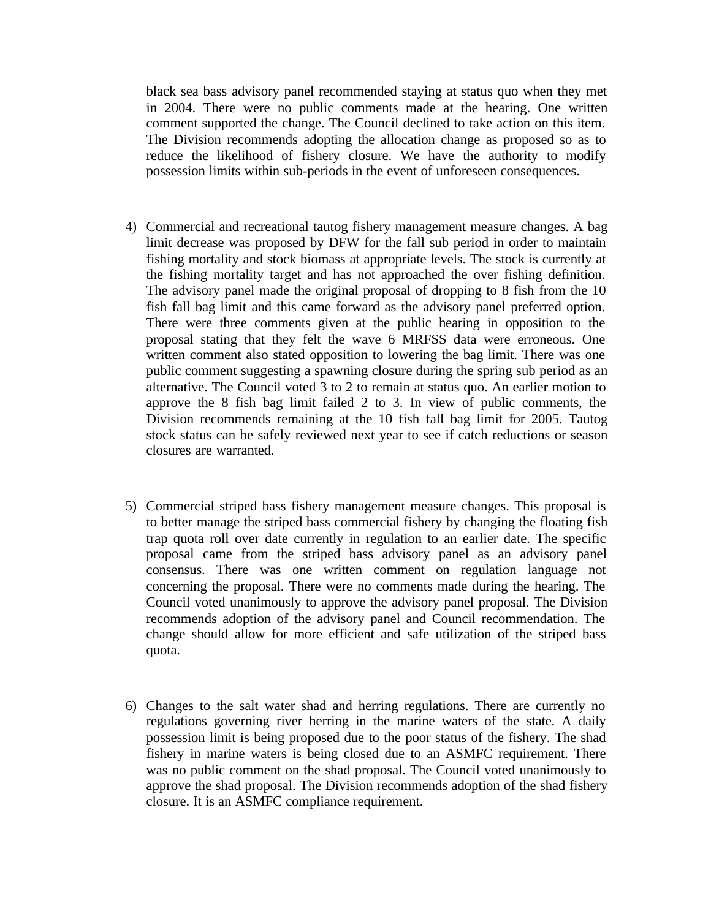black sea bass advisory panel recommended staying at status quo when they met in 2004. There were no public comments made at the hearing. One written comment supported the change. The Council declined to take action on this item. The Division recommends adopting the allocation change as proposed so as to reduce the likelihood of fishery closure. We have the authority to modify possession limits within sub-periods in the event of unforeseen consequences.

- 4) Commercial and recreational tautog fishery management measure changes. A bag limit decrease was proposed by DFW for the fall sub period in order to maintain fishing mortality and stock biomass at appropriate levels. The stock is currently at the fishing mortality target and has not approached the over fishing definition. The advisory panel made the original proposal of dropping to 8 fish from the 10 fish fall bag limit and this came forward as the advisory panel preferred option. There were three comments given at the public hearing in opposition to the proposal stating that they felt the wave 6 MRFSS data were erroneous. One written comment also stated opposition to lowering the bag limit. There was one public comment suggesting a spawning closure during the spring sub period as an alternative. The Council voted 3 to 2 to remain at status quo. An earlier motion to approve the 8 fish bag limit failed 2 to 3. In view of public comments, the Division recommends remaining at the 10 fish fall bag limit for 2005. Tautog stock status can be safely reviewed next year to see if catch reductions or season closures are warranted.
- 5) Commercial striped bass fishery management measure changes. This proposal is to better manage the striped bass commercial fishery by changing the floating fish trap quota roll over date currently in regulation to an earlier date. The specific proposal came from the striped bass advisory panel as an advisory panel consensus. There was one written comment on regulation language not concerning the proposal. There were no comments made during the hearing. The Council voted unanimously to approve the advisory panel proposal. The Division recommends adoption of the advisory panel and Council recommendation. The change should allow for more efficient and safe utilization of the striped bass quota.
- 6) Changes to the salt water shad and herring regulations. There are currently no regulations governing river herring in the marine waters of the state. A daily possession limit is being proposed due to the poor status of the fishery. The shad fishery in marine waters is being closed due to an ASMFC requirement. There was no public comment on the shad proposal. The Council voted unanimously to approve the shad proposal. The Division recommends adoption of the shad fishery closure. It is an ASMFC compliance requirement.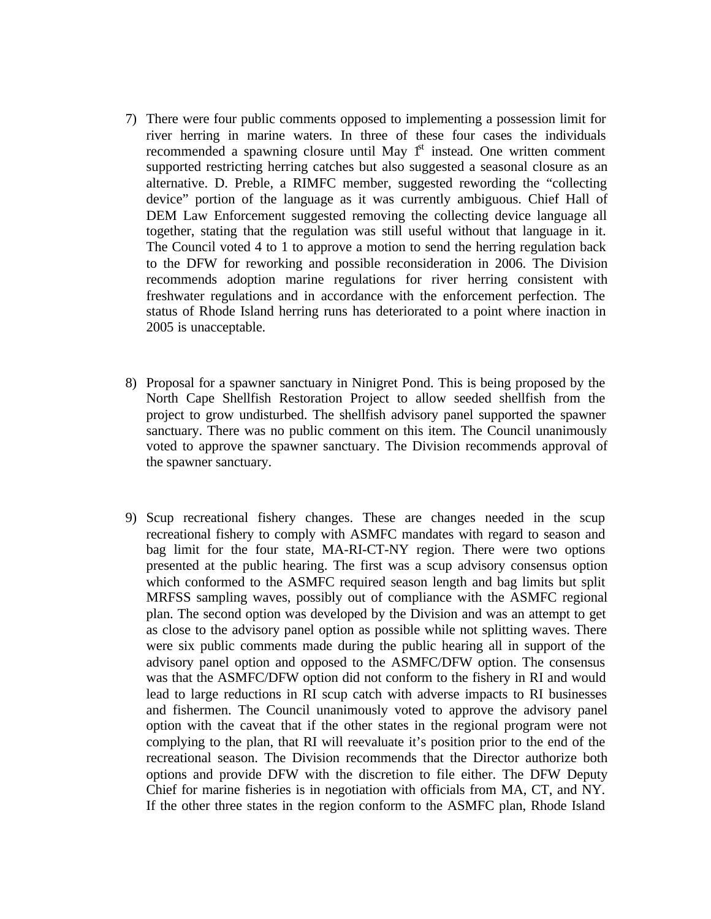- 7) There were four public comments opposed to implementing a possession limit for river herring in marine waters. In three of these four cases the individuals recommended a spawning closure until May  $1<sup>st</sup>$  instead. One written comment supported restricting herring catches but also suggested a seasonal closure as an alternative. D. Preble, a RIMFC member, suggested rewording the "collecting device" portion of the language as it was currently ambiguous. Chief Hall of DEM Law Enforcement suggested removing the collecting device language all together, stating that the regulation was still useful without that language in it. The Council voted 4 to 1 to approve a motion to send the herring regulation back to the DFW for reworking and possible reconsideration in 2006. The Division recommends adoption marine regulations for river herring consistent with freshwater regulations and in accordance with the enforcement perfection. The status of Rhode Island herring runs has deteriorated to a point where inaction in 2005 is unacceptable.
- 8) Proposal for a spawner sanctuary in Ninigret Pond. This is being proposed by the North Cape Shellfish Restoration Project to allow seeded shellfish from the project to grow undisturbed. The shellfish advisory panel supported the spawner sanctuary. There was no public comment on this item. The Council unanimously voted to approve the spawner sanctuary. The Division recommends approval of the spawner sanctuary.
- 9) Scup recreational fishery changes. These are changes needed in the scup recreational fishery to comply with ASMFC mandates with regard to season and bag limit for the four state, MA-RI-CT-NY region. There were two options presented at the public hearing. The first was a scup advisory consensus option which conformed to the ASMFC required season length and bag limits but split MRFSS sampling waves, possibly out of compliance with the ASMFC regional plan. The second option was developed by the Division and was an attempt to get as close to the advisory panel option as possible while not splitting waves. There were six public comments made during the public hearing all in support of the advisory panel option and opposed to the ASMFC/DFW option. The consensus was that the ASMFC/DFW option did not conform to the fishery in RI and would lead to large reductions in RI scup catch with adverse impacts to RI businesses and fishermen. The Council unanimously voted to approve the advisory panel option with the caveat that if the other states in the regional program were not complying to the plan, that RI will reevaluate it's position prior to the end of the recreational season. The Division recommends that the Director authorize both options and provide DFW with the discretion to file either. The DFW Deputy Chief for marine fisheries is in negotiation with officials from MA, CT, and NY. If the other three states in the region conform to the ASMFC plan, Rhode Island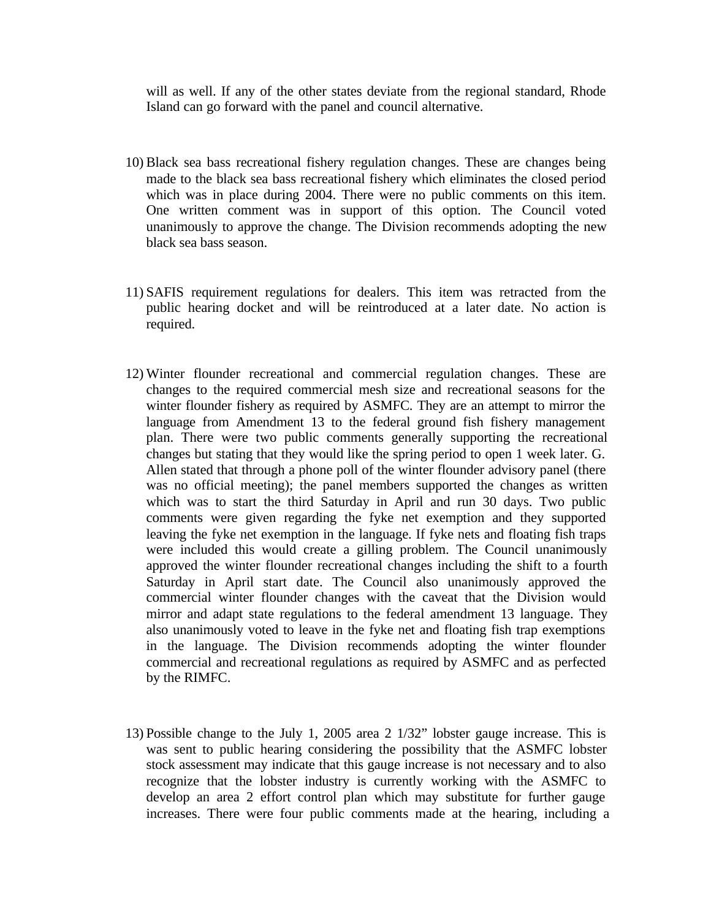will as well. If any of the other states deviate from the regional standard, Rhode Island can go forward with the panel and council alternative.

- 10) Black sea bass recreational fishery regulation changes. These are changes being made to the black sea bass recreational fishery which eliminates the closed period which was in place during 2004. There were no public comments on this item. One written comment was in support of this option. The Council voted unanimously to approve the change. The Division recommends adopting the new black sea bass season.
- 11) SAFIS requirement regulations for dealers. This item was retracted from the public hearing docket and will be reintroduced at a later date. No action is required.
- 12) Winter flounder recreational and commercial regulation changes. These are changes to the required commercial mesh size and recreational seasons for the winter flounder fishery as required by ASMFC. They are an attempt to mirror the language from Amendment 13 to the federal ground fish fishery management plan. There were two public comments generally supporting the recreational changes but stating that they would like the spring period to open 1 week later. G. Allen stated that through a phone poll of the winter flounder advisory panel (there was no official meeting); the panel members supported the changes as written which was to start the third Saturday in April and run 30 days. Two public comments were given regarding the fyke net exemption and they supported leaving the fyke net exemption in the language. If fyke nets and floating fish traps were included this would create a gilling problem. The Council unanimously approved the winter flounder recreational changes including the shift to a fourth Saturday in April start date. The Council also unanimously approved the commercial winter flounder changes with the caveat that the Division would mirror and adapt state regulations to the federal amendment 13 language. They also unanimously voted to leave in the fyke net and floating fish trap exemptions in the language. The Division recommends adopting the winter flounder commercial and recreational regulations as required by ASMFC and as perfected by the RIMFC.
- 13) Possible change to the July 1, 2005 area 2 1/32" lobster gauge increase. This is was sent to public hearing considering the possibility that the ASMFC lobster stock assessment may indicate that this gauge increase is not necessary and to also recognize that the lobster industry is currently working with the ASMFC to develop an area 2 effort control plan which may substitute for further gauge increases. There were four public comments made at the hearing, including a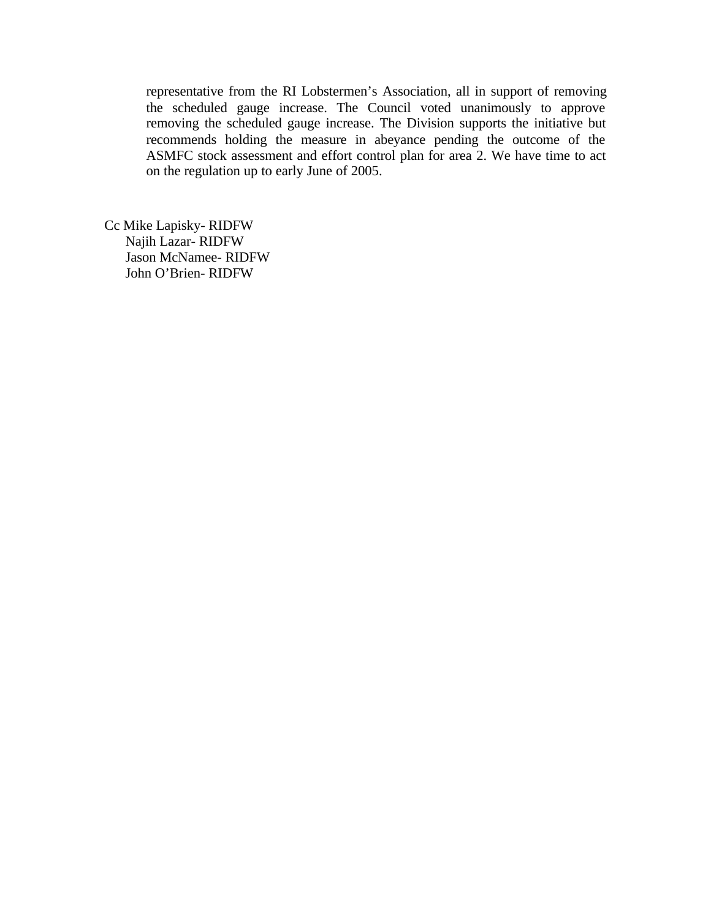representative from the RI Lobstermen's Association, all in support of removing the scheduled gauge increase. The Council voted unanimously to approve removing the scheduled gauge increase. The Division supports the initiative but recommends holding the measure in abeyance pending the outcome of the ASMFC stock assessment and effort control plan for area 2. We have time to act on the regulation up to early June of 2005.

Cc Mike Lapisky- RIDFW Najih Lazar- RIDFW Jason McNamee- RIDFW John O'Brien- RIDFW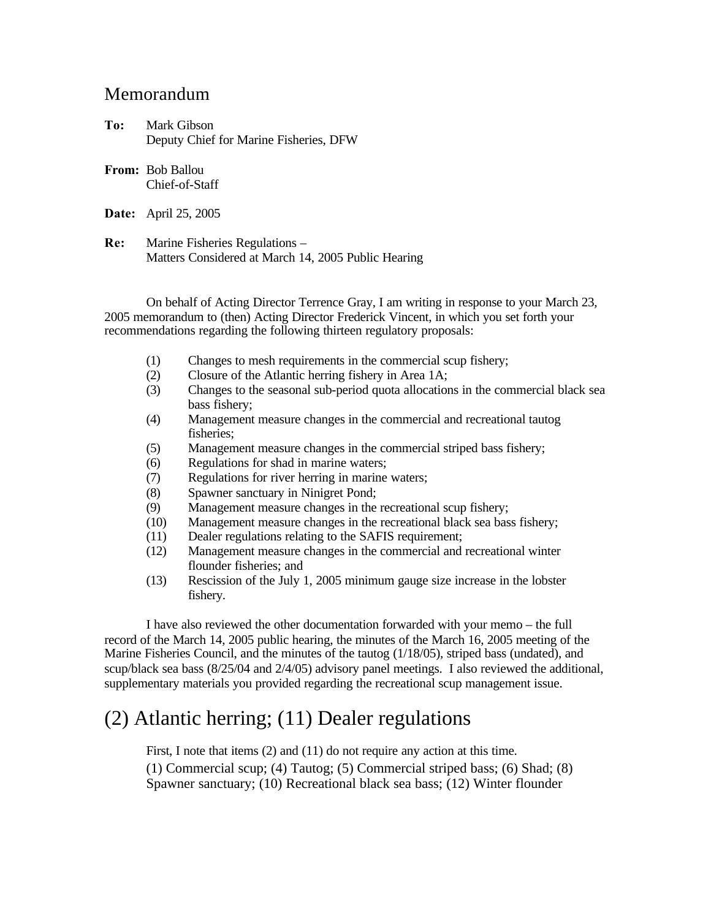## Memorandum

- **To:** Mark Gibson Deputy Chief for Marine Fisheries, DFW
- **From:** Bob Ballou Chief-of-Staff
- **Date:** April 25, 2005
- **Re:** Marine Fisheries Regulations Matters Considered at March 14, 2005 Public Hearing

On behalf of Acting Director Terrence Gray, I am writing in response to your March 23, 2005 memorandum to (then) Acting Director Frederick Vincent, in which you set forth your recommendations regarding the following thirteen regulatory proposals:

- (1) Changes to mesh requirements in the commercial scup fishery;
- (2) Closure of the Atlantic herring fishery in Area 1A;
- (3) Changes to the seasonal sub-period quota allocations in the commercial black sea bass fishery;
- (4) Management measure changes in the commercial and recreational tautog fisheries;
- (5) Management measure changes in the commercial striped bass fishery;
- (6) Regulations for shad in marine waters;
- (7) Regulations for river herring in marine waters;
- (8) Spawner sanctuary in Ninigret Pond;
- (9) Management measure changes in the recreational scup fishery;
- (10) Management measure changes in the recreational black sea bass fishery;
- (11) Dealer regulations relating to the SAFIS requirement;
- (12) Management measure changes in the commercial and recreational winter flounder fisheries; and
- (13) Rescission of the July 1, 2005 minimum gauge size increase in the lobster fishery.

I have also reviewed the other documentation forwarded with your memo – the full record of the March 14, 2005 public hearing, the minutes of the March 16, 2005 meeting of the Marine Fisheries Council, and the minutes of the tautog (1/18/05), striped bass (undated), and scup/black sea bass (8/25/04 and 2/4/05) advisory panel meetings. I also reviewed the additional, supplementary materials you provided regarding the recreational scup management issue.

# (2) Atlantic herring; (11) Dealer regulations

First, I note that items (2) and (11) do not require any action at this time. (1) Commercial scup; (4) Tautog; (5) Commercial striped bass; (6) Shad; (8) Spawner sanctuary; (10) Recreational black sea bass; (12) Winter flounder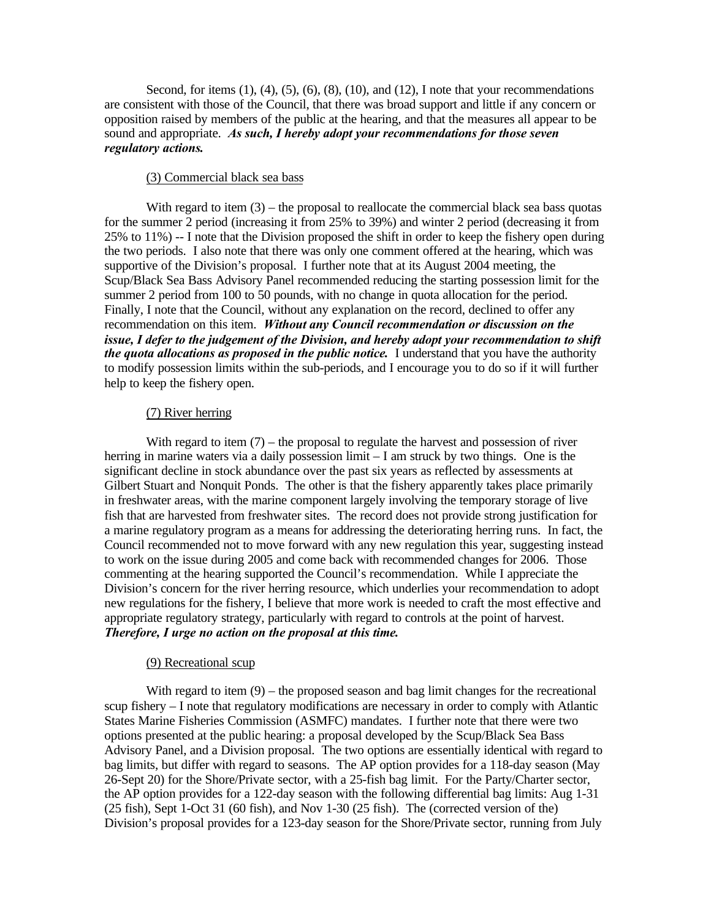Second, for items  $(1)$ ,  $(4)$ ,  $(5)$ ,  $(6)$ ,  $(8)$ ,  $(10)$ , and  $(12)$ , I note that your recommendations are consistent with those of the Council, that there was broad support and little if any concern or opposition raised by members of the public at the hearing, and that the measures all appear to be sound and appropriate. *As such, I hereby adopt your recommendations for those seven regulatory actions.*

#### (3) Commercial black sea bass

With regard to item  $(3)$  – the proposal to reallocate the commercial black sea bass quotas for the summer 2 period (increasing it from 25% to 39%) and winter 2 period (decreasing it from 25% to 11%) -- I note that the Division proposed the shift in order to keep the fishery open during the two periods. I also note that there was only one comment offered at the hearing, which was supportive of the Division's proposal. I further note that at its August 2004 meeting, the Scup/Black Sea Bass Advisory Panel recommended reducing the starting possession limit for the summer 2 period from 100 to 50 pounds, with no change in quota allocation for the period. Finally, I note that the Council, without any explanation on the record, declined to offer any recommendation on this item. *Without any Council recommendation or discussion on the issue, I defer to the judgement of the Division, and hereby adopt your recommendation to shift the quota allocations as proposed in the public notice.* I understand that you have the authority to modify possession limits within the sub-periods, and I encourage you to do so if it will further help to keep the fishery open.

### (7) River herring

With regard to item (7) – the proposal to regulate the harvest and possession of river herring in marine waters via a daily possession limit – I am struck by two things. One is the significant decline in stock abundance over the past six years as reflected by assessments at Gilbert Stuart and Nonquit Ponds. The other is that the fishery apparently takes place primarily in freshwater areas, with the marine component largely involving the temporary storage of live fish that are harvested from freshwater sites. The record does not provide strong justification for a marine regulatory program as a means for addressing the deteriorating herring runs. In fact, the Council recommended not to move forward with any new regulation this year, suggesting instead to work on the issue during 2005 and come back with recommended changes for 2006. Those commenting at the hearing supported the Council's recommendation. While I appreciate the Division's concern for the river herring resource, which underlies your recommendation to adopt new regulations for the fishery, I believe that more work is needed to craft the most effective and appropriate regulatory strategy, particularly with regard to controls at the point of harvest. *Therefore, I urge no action on the proposal at this time.*

#### (9) Recreational scup

With regard to item  $(9)$  – the proposed season and bag limit changes for the recreational scup fishery – I note that regulatory modifications are necessary in order to comply with Atlantic States Marine Fisheries Commission (ASMFC) mandates. I further note that there were two options presented at the public hearing: a proposal developed by the Scup/Black Sea Bass Advisory Panel, and a Division proposal. The two options are essentially identical with regard to bag limits, but differ with regard to seasons. The AP option provides for a 118-day season (May 26-Sept 20) for the Shore/Private sector, with a 25-fish bag limit. For the Party/Charter sector, the AP option provides for a 122-day season with the following differential bag limits: Aug 1-31 (25 fish), Sept 1-Oct 31 (60 fish), and Nov 1-30 (25 fish). The (corrected version of the) Division's proposal provides for a 123-day season for the Shore/Private sector, running from July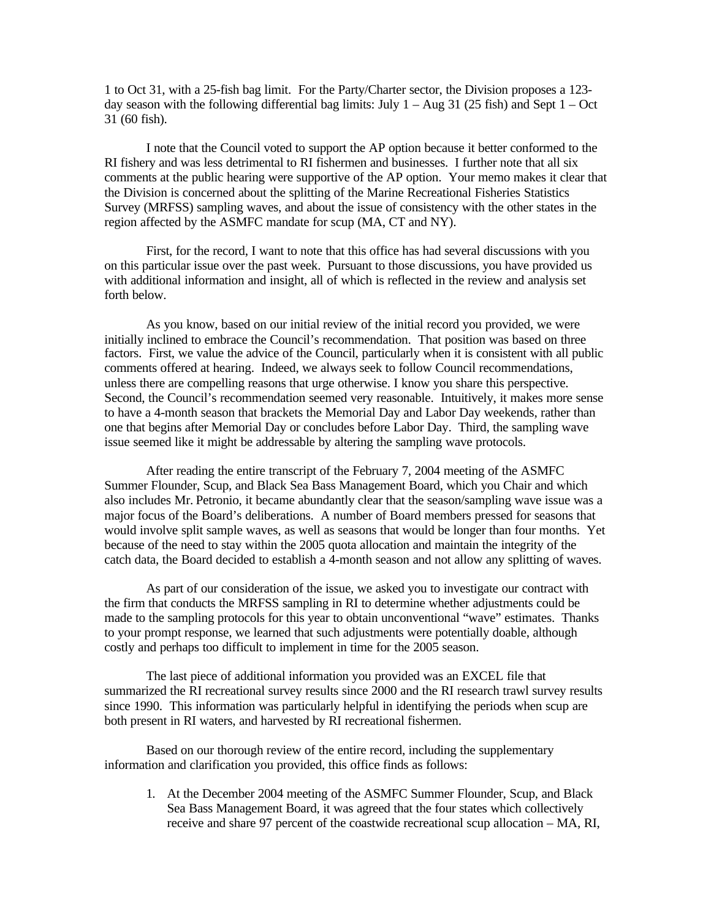1 to Oct 31, with a 25-fish bag limit. For the Party/Charter sector, the Division proposes a 123 day season with the following differential bag limits: July  $1 - \text{Aug } 31$  (25 fish) and Sept  $1 - \text{Oct}$ 31 (60 fish).

I note that the Council voted to support the AP option because it better conformed to the RI fishery and was less detrimental to RI fishermen and businesses. I further note that all six comments at the public hearing were supportive of the AP option. Your memo makes it clear that the Division is concerned about the splitting of the Marine Recreational Fisheries Statistics Survey (MRFSS) sampling waves, and about the issue of consistency with the other states in the region affected by the ASMFC mandate for scup (MA, CT and NY).

First, for the record, I want to note that this office has had several discussions with you on this particular issue over the past week. Pursuant to those discussions, you have provided us with additional information and insight, all of which is reflected in the review and analysis set forth below.

As you know, based on our initial review of the initial record you provided, we were initially inclined to embrace the Council's recommendation. That position was based on three factors. First, we value the advice of the Council, particularly when it is consistent with all public comments offered at hearing. Indeed, we always seek to follow Council recommendations, unless there are compelling reasons that urge otherwise. I know you share this perspective. Second, the Council's recommendation seemed very reasonable. Intuitively, it makes more sense to have a 4-month season that brackets the Memorial Day and Labor Day weekends, rather than one that begins after Memorial Day or concludes before Labor Day. Third, the sampling wave issue seemed like it might be addressable by altering the sampling wave protocols.

After reading the entire transcript of the February 7, 2004 meeting of the ASMFC Summer Flounder, Scup, and Black Sea Bass Management Board, which you Chair and which also includes Mr. Petronio, it became abundantly clear that the season/sampling wave issue was a major focus of the Board's deliberations. A number of Board members pressed for seasons that would involve split sample waves, as well as seasons that would be longer than four months. Yet because of the need to stay within the 2005 quota allocation and maintain the integrity of the catch data, the Board decided to establish a 4-month season and not allow any splitting of waves.

As part of our consideration of the issue, we asked you to investigate our contract with the firm that conducts the MRFSS sampling in RI to determine whether adjustments could be made to the sampling protocols for this year to obtain unconventional "wave" estimates. Thanks to your prompt response, we learned that such adjustments were potentially doable, although costly and perhaps too difficult to implement in time for the 2005 season.

The last piece of additional information you provided was an EXCEL file that summarized the RI recreational survey results since 2000 and the RI research trawl survey results since 1990. This information was particularly helpful in identifying the periods when scup are both present in RI waters, and harvested by RI recreational fishermen.

Based on our thorough review of the entire record, including the supplementary information and clarification you provided, this office finds as follows:

1. At the December 2004 meeting of the ASMFC Summer Flounder, Scup, and Black Sea Bass Management Board, it was agreed that the four states which collectively receive and share 97 percent of the coastwide recreational scup allocation – MA, RI,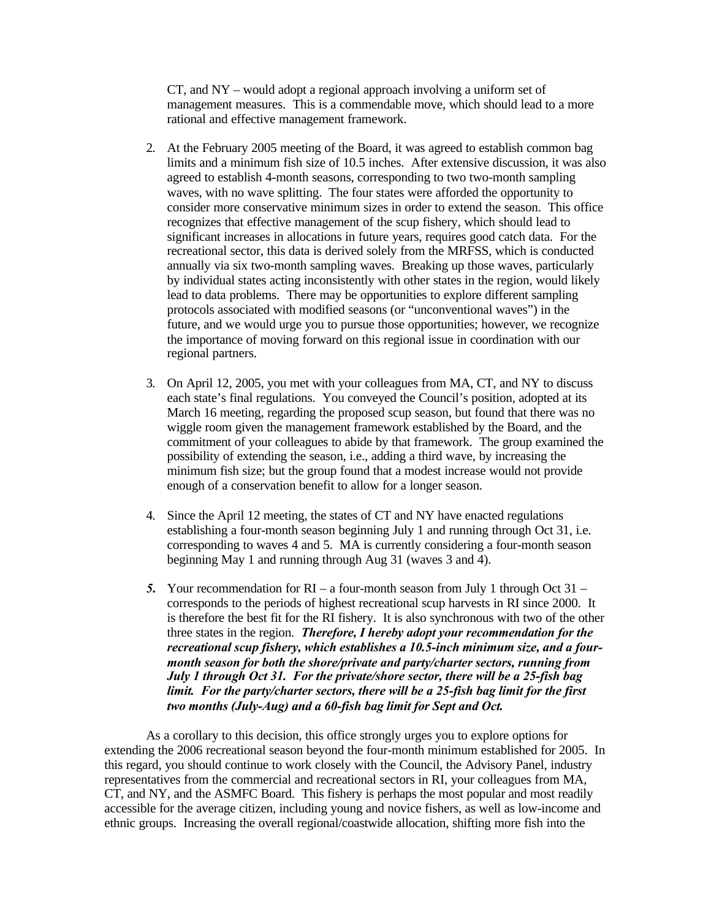CT, and NY – would adopt a regional approach involving a uniform set of management measures. This is a commendable move, which should lead to a more rational and effective management framework.

- 2. At the February 2005 meeting of the Board, it was agreed to establish common bag limits and a minimum fish size of 10.5 inches. After extensive discussion, it was also agreed to establish 4-month seasons, corresponding to two two-month sampling waves, with no wave splitting. The four states were afforded the opportunity to consider more conservative minimum sizes in order to extend the season. This office recognizes that effective management of the scup fishery, which should lead to significant increases in allocations in future years, requires good catch data. For the recreational sector, this data is derived solely from the MRFSS, which is conducted annually via six two-month sampling waves. Breaking up those waves, particularly by individual states acting inconsistently with other states in the region, would likely lead to data problems. There may be opportunities to explore different sampling protocols associated with modified seasons (or "unconventional waves") in the future, and we would urge you to pursue those opportunities; however, we recognize the importance of moving forward on this regional issue in coordination with our regional partners.
- 3. On April 12, 2005, you met with your colleagues from MA, CT, and NY to discuss each state's final regulations. You conveyed the Council's position, adopted at its March 16 meeting, regarding the proposed scup season, but found that there was no wiggle room given the management framework established by the Board, and the commitment of your colleagues to abide by that framework. The group examined the possibility of extending the season, i.e., adding a third wave, by increasing the minimum fish size; but the group found that a modest increase would not provide enough of a conservation benefit to allow for a longer season.
- 4. Since the April 12 meeting, the states of CT and NY have enacted regulations establishing a four-month season beginning July 1 and running through Oct 31, i.e. corresponding to waves 4 and 5. MA is currently considering a four-month season beginning May 1 and running through Aug 31 (waves 3 and 4).
- *5.* Your recommendation for RI a four-month season from July 1 through Oct 31 corresponds to the periods of highest recreational scup harvests in RI since 2000. It is therefore the best fit for the RI fishery. It is also synchronous with two of the other three states in the region. *Therefore, I hereby adopt your recommendation for the recreational scup fishery, which establishes a 10.5-inch minimum size, and a fourmonth season for both the shore/private and party/charter sectors, running from July 1 through Oct 31. For the private/shore sector, there will be a 25-fish bag limit. For the party/charter sectors, there will be a 25-fish bag limit for the first two months (July-Aug) and a 60-fish bag limit for Sept and Oct.*

As a corollary to this decision, this office strongly urges you to explore options for extending the 2006 recreational season beyond the four-month minimum established for 2005. In this regard, you should continue to work closely with the Council, the Advisory Panel, industry representatives from the commercial and recreational sectors in RI, your colleagues from MA, CT, and NY, and the ASMFC Board. This fishery is perhaps the most popular and most readily accessible for the average citizen, including young and novice fishers, as well as low-income and ethnic groups. Increasing the overall regional/coastwide allocation, shifting more fish into the